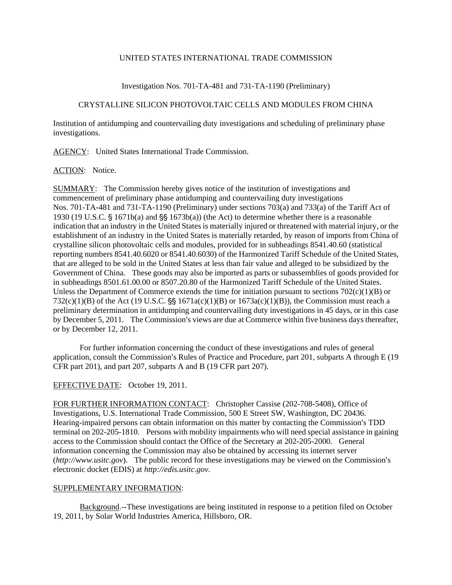## UNITED STATES INTERNATIONAL TRADE COMMISSION

# Investigation Nos. 701-TA-481 and 731-TA-1190 (Preliminary)

# CRYSTALLINE SILICON PHOTOVOLTAIC CELLS AND MODULES FROM CHINA

Institution of antidumping and countervailing duty investigations and scheduling of preliminary phase investigations.

AGENCY: United States International Trade Commission.

## ACTION: Notice.

SUMMARY: The Commission hereby gives notice of the institution of investigations and commencement of preliminary phase antidumping and countervailing duty investigations Nos. 701-TA-481 and 731-TA-1190 (Preliminary) under sections 703(a) and 733(a) of the Tariff Act of 1930 (19 U.S.C.  $\frac{5}{3}$  1671b(a) and  $\frac{5}{3}$  1673b(a)) (the Act) to determine whether there is a reasonable indication that an industry in the United States is materially injured or threatened with material injury, or the establishment of an industry in the United States is materially retarded, by reason of imports from China of crystalline silicon photovoltaic cells and modules, provided for in subheadings 8541.40.60 (statistical reporting numbers 8541.40.6020 or 8541.40.6030) of the Harmonized Tariff Schedule of the United States, that are alleged to be sold in the United States at less than fair value and alleged to be subsidized by the Government of China. These goods may also be imported as parts or subassemblies of goods provided for in subheadings 8501.61.00.00 or 8507.20.80 of the Harmonized Tariff Schedule of the United States. Unless the Department of Commerce extends the time for initiation pursuant to sections  $702(c)(1)(B)$  or 732(c)(1)(B) of the Act (19 U.S.C.  $\S$  1671a(c)(1)(B) or 1673a(c)(1)(B)), the Commission must reach a preliminary determination in antidumping and countervailing duty investigations in 45 days, or in this case by December 5, 2011. The Commission's views are due at Commerce within five business days thereafter, or by December 12, 2011.

For further information concerning the conduct of these investigations and rules of general application, consult the Commission's Rules of Practice and Procedure, part 201, subparts A through E (19) CFR part 201), and part 207, subparts A and B (19 CFR part 207).

# EFFECTIVE DATE: October 19, 2011.

FOR FURTHER INFORMATION CONTACT: Christopher Cassise (202-708-5408), Office of Investigations, U.S. International Trade Commission, 500 E Street SW, Washington, DC 20436. Hearing-impaired persons can obtain information on this matter by contacting the Commission's TDD terminal on 202-205-1810. Persons with mobility impairments who will need special assistance in gaining access to the Commission should contact the Office of the Secretary at 202-205-2000. General information concerning the Commission may also be obtained by accessing its internet server (*http://www.usitc.gov*). The public record for these investigations may be viewed on the Commission's electronic docket (EDIS) at *http://edis.usitc.gov*.

# SUPPLEMENTARY INFORMATION:

Background.--These investigations are being instituted in response to a petition filed on October 19, 2011, by Solar World Industries America, Hillsboro, OR.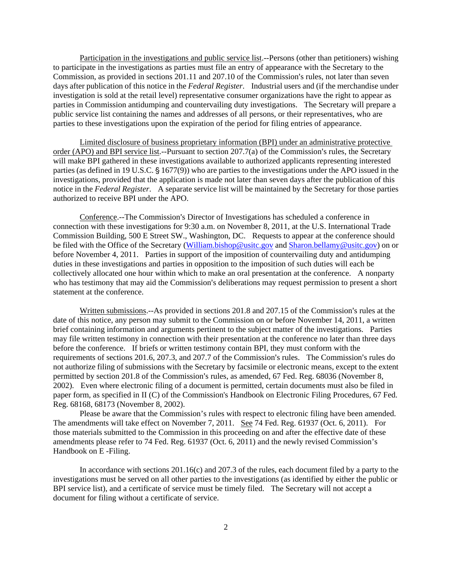Participation in the investigations and public service list.--Persons (other than petitioners) wishing to participate in the investigations as parties must file an entry of appearance with the Secretary to the Commission, as provided in sections 201.11 and 207.10 of the Commission's rules, not later than seven days after publication of this notice in the *Federal Register*. Industrial users and (if the merchandise under investigation is sold at the retail level) representative consumer organizations have the right to appear as parties in Commission antidumping and countervailing duty investigations. The Secretary will prepare a public service list containing the names and addresses of all persons, or their representatives, who are parties to these investigations upon the expiration of the period for filing entries of appearance.

Limited disclosure of business proprietary information (BPI) under an administrative protective order (APO) and BPI service list.--Pursuant to section  $207.7(a)$  of the Commission's rules, the Secretary will make BPI gathered in these investigations available to authorized applicants representing interested parties (as defined in 19 U.S.C. § 1677(9)) who are parties to the investigations under the APO issued in the investigations, provided that the application is made not later than seven days after the publication of this notice in the *Federal Register*. A separate service list will be maintained by the Secretary for those parties authorized to receive BPI under the APO.

Conference.--The Commission's Director of Investigations has scheduled a conference in connection with these investigations for 9:30 a.m. on November 8, 2011, at the U.S. International Trade Commission Building, 500 E Street SW., Washington, DC. Requests to appear at the conference should be filed with the Office of the Secretary (William.bishop@usitc.gov and Sharon.bellamy@usitc.gov) on or before November 4, 2011. Parties in support of the imposition of countervailing duty and antidumping duties in these investigations and parties in opposition to the imposition of such duties will each be collectively allocated one hour within which to make an oral presentation at the conference. A nonparty who has testimony that may aid the Commission's deliberations may request permission to present a short statement at the conference.

Written submissions. $-$ As provided in sections 201.8 and 207.15 of the Commission's rules at the date of this notice, any person may submit to the Commission on or before November 14, 2011, a written brief containing information and arguments pertinent to the subject matter of the investigations. Parties may file written testimony in connection with their presentation at the conference no later than three days before the conference. If briefs or written testimony contain BPI, they must conform with the requirements of sections 201.6, 207.3, and 207.7 of the Commission's rules. The Commission's rules do not authorize filing of submissions with the Secretary by facsimile or electronic means, except to the extent permitted by section 201.8 of the Commission's rules, as amended, 67 Fed. Reg. 68036 (November 8, 2002). Even where electronic filing of a document is permitted, certain documents must also be filed in paper form, as specified in II (C) of the Commission's Handbook on Electronic Filing Procedures, 67 Fed. Reg. 68168, 68173 (November 8, 2002).

 Please be aware that the Commission's rules with respect to electronic filing have been amended. The amendments will take effect on November 7, 2011. See 74 Fed. Reg. 61937 (Oct. 6, 2011). For those materials submitted to the Commission in this proceeding on and after the effective date of these amendments please refer to 74 Fed. Reg. 61937 (Oct. 6, 2011) and the newly revised Commission's Handbook on E -Filing.

In accordance with sections 201.16(c) and 207.3 of the rules, each document filed by a party to the investigations must be served on all other parties to the investigations (as identified by either the public or BPI service list), and a certificate of service must be timely filed. The Secretary will not accept a document for filing without a certificate of service.